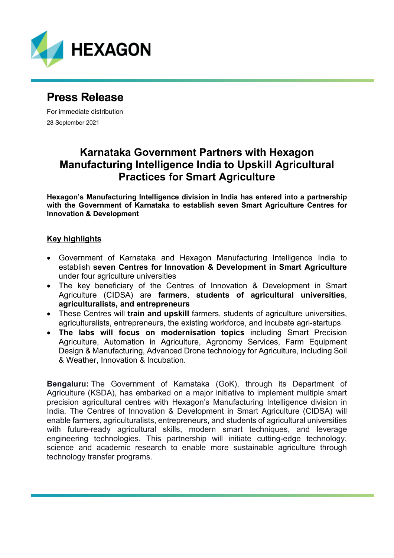

## **Press Release**

For immediate distribution 28 September 2021

## **Karnataka Government Partners with Hexagon Manufacturing Intelligence India to Upskill Agricultural Practices for Smart Agriculture**

**Hexagon's Manufacturing Intelligence division in India has entered into a partnership with the Government of Karnataka to establish seven Smart Agriculture Centres for Innovation & Development**

## **Key highlights**

- Government of Karnataka and Hexagon Manufacturing Intelligence India to establish **seven Centres for Innovation & Development in Smart Agriculture** under four agriculture universities
- The key beneficiary of the Centres of Innovation & Development in Smart Agriculture (CIDSA) are **farmers**, **students of agricultural universities**, **agriculturalists, and entrepreneurs**
- These Centres will **train and upskill** farmers, students of agriculture universities, agriculturalists, entrepreneurs, the existing workforce, and incubate agri-startups
- **The labs will focus on modernisation topics** including Smart Precision Agriculture, Automation in Agriculture, Agronomy Services, Farm Equipment Design & Manufacturing, Advanced Drone technology for Agriculture, including Soil & Weather, Innovation & Incubation.

**Bengaluru:** The Government of Karnataka (GoK), through its Department of Agriculture (KSDA), has embarked on a major initiative to implement multiple smart precision agricultural centres with Hexagon's Manufacturing Intelligence division in India. The Centres of Innovation & Development in Smart Agriculture (CIDSA) will enable farmers, agriculturalists, entrepreneurs, and students of agricultural universities with future-ready agricultural skills, modern smart techniques, and leverage engineering technologies. This partnership will initiate cutting-edge technology, science and academic research to enable more sustainable agriculture through technology transfer programs.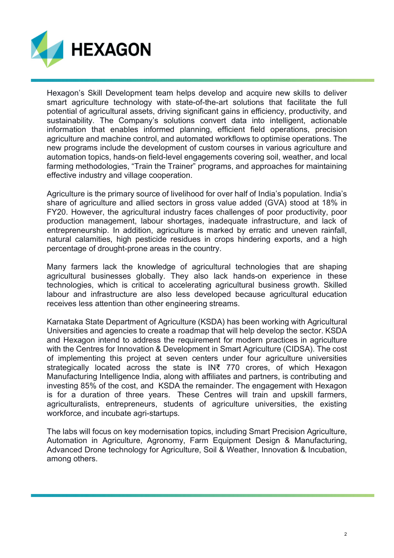

Hexagon's Skill Development team helps develop and acquire new skills to deliver smart agriculture technology with state-of-the-art solutions that facilitate the full potential of agricultural assets, driving significant gains in efficiency, productivity, and sustainability. The Company's solutions convert data into intelligent, actionable information that enables informed planning, efficient field operations, precision agriculture and machine control, and automated workflows to optimise operations. The new programs include the development of custom courses in various agriculture and automation topics, hands-on field-level engagements covering soil, weather, and local farming methodologies, "Train the Trainer" programs, and approaches for maintaining effective industry and village cooperation.

Agriculture is the primary source of livelihood for over half of India's population. India's share of agriculture and allied sectors in gross value added (GVA) stood at 18% in FY20. However, the agricultural industry faces challenges of poor productivity, poor production management, labour shortages, inadequate infrastructure, and lack of entrepreneurship. In addition, agriculture is marked by erratic and uneven rainfall, natural calamities, high pesticide residues in crops hindering exports, and a high percentage of drought-prone areas in the country.

Many farmers lack the knowledge of agricultural technologies that are shaping agricultural businesses globally. They also lack hands-on experience in these technologies, which is critical to accelerating agricultural business growth. Skilled labour and infrastructure are also less developed because agricultural education receives less attention than other engineering streams.

Karnataka State Department of Agriculture (KSDA) has been working with Agricultural Universities and agencies to create a roadmap that will help develop the sector. KSDA and Hexagon intend to address the requirement for modern practices in agriculture with the Centres for Innovation & Development in Smart Agriculture (CIDSA). The cost of implementing this project at seven centers under four agriculture universities strategically located across the state is IN₹ 770 crores, of which Hexagon Manufacturing Intelligence India, along with affiliates and partners, is contributing and investing 85% of the cost, and KSDA the remainder. The engagement with Hexagon is for a duration of three years. These Centres will train and upskill farmers, agriculturalists, entrepreneurs, students of agriculture universities, the existing workforce, and incubate agri-startups.

The labs will focus on key modernisation topics, including Smart Precision Agriculture, Automation in Agriculture, Agronomy, Farm Equipment Design & Manufacturing, Advanced Drone technology for Agriculture, Soil & Weather, Innovation & Incubation, among others.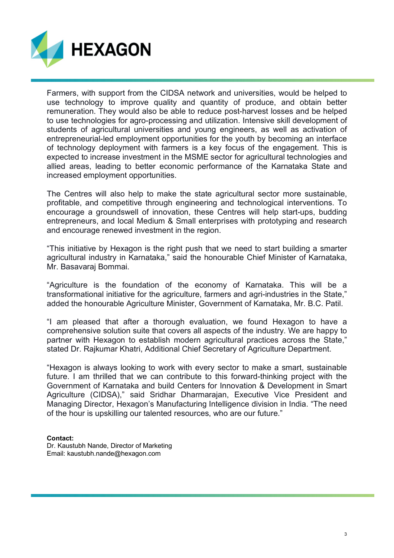

Farmers, with support from the CIDSA network and universities, would be helped to use technology to improve quality and quantity of produce, and obtain better remuneration. They would also be able to reduce post-harvest losses and be helped to use technologies for agro-processing and utilization. Intensive skill development of students of agricultural universities and young engineers, as well as activation of entrepreneurial-led employment opportunities for the youth by becoming an interface of technology deployment with farmers is a key focus of the engagement. This is expected to increase investment in the MSME sector for agricultural technologies and allied areas, leading to better economic performance of the Karnataka State and increased employment opportunities.

The Centres will also help to make the state agricultural sector more sustainable, profitable, and competitive through engineering and technological interventions. To encourage a groundswell of innovation, these Centres will help start-ups, budding entrepreneurs, and local Medium & Small enterprises with prototyping and research and encourage renewed investment in the region.

"This initiative by Hexagon is the right push that we need to start building a smarter agricultural industry in Karnataka," said the honourable Chief Minister of Karnataka, Mr. Basavaraj Bommai.

"Agriculture is the foundation of the economy of Karnataka. This will be a transformational initiative for the agriculture, farmers and agri-industries in the State," added the honourable Agriculture Minister, Government of Karnataka, Mr. B.C. Patil.

"I am pleased that after a thorough evaluation, we found Hexagon to have a comprehensive solution suite that covers all aspects of the industry. We are happy to partner with Hexagon to establish modern agricultural practices across the State," stated Dr. Rajkumar Khatri, Additional Chief Secretary of Agriculture Department.

"Hexagon is always looking to work with every sector to make a smart, sustainable future. I am thrilled that we can contribute to this forward-thinking project with the Government of Karnataka and build Centers for Innovation & Development in Smart Agriculture (CIDSA)," said Sridhar Dharmarajan, Executive Vice President and Managing Director, Hexagon's Manufacturing Intelligence division in India. "The need of the hour is upskilling our talented resources, who are our future."

**Contact:** Dr. Kaustubh Nande, Director of Marketing Email: kaustubh.nande@hexagon.com